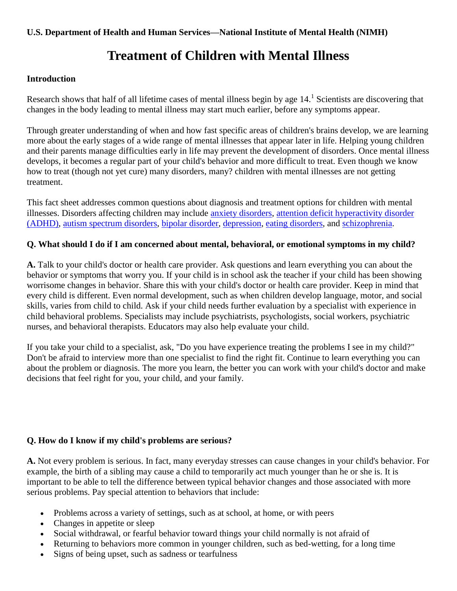# **Treatment of Children with Mental Illness**

#### **Introduction**

Research shows that half of all lifetime cases of mental illness begin by age  $14<sup>1</sup>$  Scientists are discovering that changes in the body leading to mental illness may start much earlier, before any symptoms appear.

Through greater understanding of when and how fast specific areas of children's brains develop, we are learning more about the early stages of a wide range of mental illnesses that appear later in life. Helping young children and their parents manage difficulties early in life may prevent the development of disorders. Once mental illness develops, it becomes a regular part of your child's behavior and more difficult to treat. Even though we know how to treat (though not yet cure) many disorders, many? children with mental illnesses are not getting treatment.

This fact sheet addresses common questions about diagnosis and treatment options for children with mental illnesses. Disorders affecting children may include [anxiety disorders,](http://www.nimh.nih.gov/health/topics/anxiety-disorders/index.shtml) attention deficit hyperactivity disorder [\(ADHD\),](http://www.nimh.nih.gov/health/topics/attention-deficit-hyperactivity-disorder-adhd/index.shtml) [autism spectrum disorders,](http://www.nimh.nih.gov/health/topics/autism-spectrum-disorders-pervasive-developmental-disorders/index.shtml) [bipolar disorder,](http://www.nimh.nih.gov/health/topics/bipolar-disorder/index.shtml) [depression,](http://www.nimh.nih.gov/health/topics/depression/index.shtml) [eating disorders,](http://www.nimh.nih.gov/health/topics/eating-disorders/index.shtml) and [schizophrenia.](http://www.nimh.nih.gov/health/topics/schizophrenia/index.shtml)

#### **Q. What should I do if I am concerned about mental, behavioral, or emotional symptoms in my child?**

**A.** Talk to your child's doctor or health care provider. Ask questions and learn everything you can about the behavior or symptoms that worry you. If your child is in school ask the teacher if your child has been showing worrisome changes in behavior. Share this with your child's doctor or health care provider. Keep in mind that every child is different. Even normal development, such as when children develop language, motor, and social skills, varies from child to child. Ask if your child needs further evaluation by a specialist with experience in child behavioral problems. Specialists may include psychiatrists, psychologists, social workers, psychiatric nurses, and behavioral therapists. Educators may also help evaluate your child.

If you take your child to a specialist, ask, "Do you have experience treating the problems I see in my child?" Don't be afraid to interview more than one specialist to find the right fit. Continue to learn everything you can about the problem or diagnosis. The more you learn, the better you can work with your child's doctor and make decisions that feel right for you, your child, and your family.

# **Q. How do I know if my child's problems are serious?**

**A.** Not every problem is serious. In fact, many everyday stresses can cause changes in your child's behavior. For example, the birth of a sibling may cause a child to temporarily act much younger than he or she is. It is important to be able to tell the difference between typical behavior changes and those associated with more serious problems. Pay special attention to behaviors that include:

- Problems across a variety of settings, such as at school, at home, or with peers
- Changes in appetite or sleep
- Social withdrawal, or fearful behavior toward things your child normally is not afraid of
- Returning to behaviors more common in younger children, such as bed-wetting, for a long time
- Signs of being upset, such as sadness or tearfulness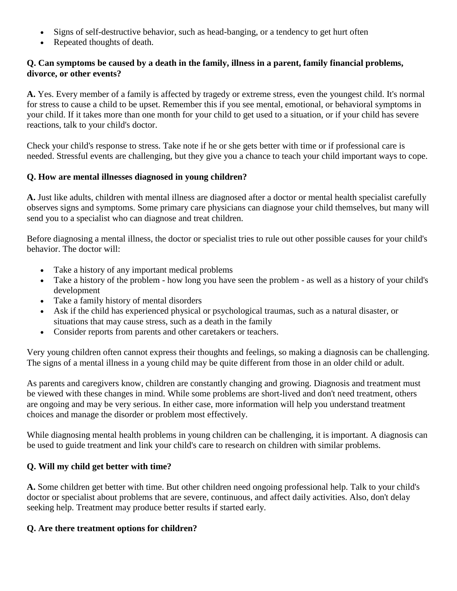- Signs of self-destructive behavior, such as head-banging, or a tendency to get hurt often
- Repeated thoughts of death.

#### **Q. Can symptoms be caused by a death in the family, illness in a parent, family financial problems, divorce, or other events?**

**A.** Yes. Every member of a family is affected by tragedy or extreme stress, even the youngest child. It's normal for stress to cause a child to be upset. Remember this if you see mental, emotional, or behavioral symptoms in your child. If it takes more than one month for your child to get used to a situation, or if your child has severe reactions, talk to your child's doctor.

Check your child's response to stress. Take note if he or she gets better with time or if professional care is needed. Stressful events are challenging, but they give you a chance to teach your child important ways to cope.

#### **Q. How are mental illnesses diagnosed in young children?**

**A.** Just like adults, children with mental illness are diagnosed after a doctor or mental health specialist carefully observes signs and symptoms. Some primary care physicians can diagnose your child themselves, but many will send you to a specialist who can diagnose and treat children.

Before diagnosing a mental illness, the doctor or specialist tries to rule out other possible causes for your child's behavior. The doctor will:

- Take a history of any important medical problems
- Take a history of the problem how long you have seen the problem as well as a history of your child's development
- Take a family history of mental disorders
- Ask if the child has experienced physical or psychological traumas, such as a natural disaster, or situations that may cause stress, such as a death in the family
- Consider reports from parents and other caretakers or teachers.

Very young children often cannot express their thoughts and feelings, so making a diagnosis can be challenging. The signs of a mental illness in a young child may be quite different from those in an older child or adult.

As parents and caregivers know, children are constantly changing and growing. Diagnosis and treatment must be viewed with these changes in mind. While some problems are short-lived and don't need treatment, others are ongoing and may be very serious. In either case, more information will help you understand treatment choices and manage the disorder or problem most effectively.

While diagnosing mental health problems in young children can be challenging, it is important. A diagnosis can be used to guide treatment and link your child's care to research on children with similar problems.

# **Q. Will my child get better with time?**

**A.** Some children get better with time. But other children need ongoing professional help. Talk to your child's doctor or specialist about problems that are severe, continuous, and affect daily activities. Also, don't delay seeking help. Treatment may produce better results if started early.

#### **Q. Are there treatment options for children?**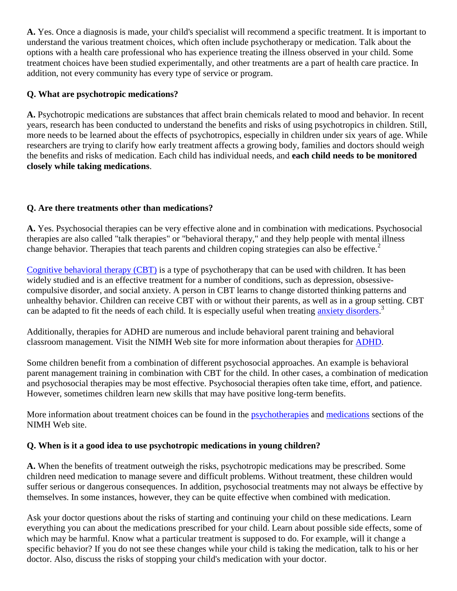**A.** Yes. Once a diagnosis is made, your child's specialist will recommend a specific treatment. It is important to understand the various treatment choices, which often include psychotherapy or medication. Talk about the options with a health care professional who has experience treating the illness observed in your child. Some treatment choices have been studied experimentally, and other treatments are a part of health care practice. In addition, not every community has every type of service or program.

#### **Q. What are psychotropic medications?**

**A.** Psychotropic medications are substances that affect brain chemicals related to mood and behavior. In recent years, research has been conducted to understand the benefits and risks of using psychotropics in children. Still, more needs to be learned about the effects of psychotropics, especially in children under six years of age. While researchers are trying to clarify how early treatment affects a growing body, families and doctors should weigh the benefits and risks of medication. Each child has individual needs, and **each child needs to be monitored closely while taking medications**.

# **Q. Are there treatments other than medications?**

**A.** Yes. Psychosocial therapies can be very effective alone and in combination with medications. Psychosocial therapies are also called "talk therapies" or "behavioral therapy," and they help people with mental illness change behavior. Therapies that teach parents and children coping strategies can also be effective.<sup>2</sup>

[Cognitive behavioral therapy \(CBT\)](http://www.nimh.nih.gov/health/topics/psychotherapies/index.shtml) is a type of psychotherapy that can be used with children. It has been widely studied and is an effective treatment for a number of conditions, such as depression, obsessivecompulsive disorder, and social anxiety. A person in CBT learns to change distorted thinking patterns and unhealthy behavior. Children can receive CBT with or without their parents, as well as in a group setting. CBT can be adapted to fit the needs of each child. It is especially useful when treating [anxiety disorders.](http://www.nimh.nih.gov/health/topics/anxiety-disorders/index.shtml)<sup>3</sup>

Additionally, therapies for ADHD are numerous and include behavioral parent training and behavioral classroom management. Visit the NIMH Web site for more information about therapies for [ADHD.](http://www.nimh.nih.gov/health/topics/attention-deficit-hyperactivity-disorder-adhd/index.shtml)

Some children benefit from a combination of different psychosocial approaches. An example is behavioral parent management training in combination with CBT for the child. In other cases, a combination of medication and psychosocial therapies may be most effective. Psychosocial therapies often take time, effort, and patience. However, sometimes children learn new skills that may have positive long-term benefits.

More information about treatment choices can be found in the [psychotherapies](http://www.nimh.nih.gov/health/topics/psychotherapies/index.shtml) and [medications](http://www.nimh.nih.gov/health/publications/mental-health-medications/index.shtml) sections of the NIMH Web site.

#### **Q. When is it a good idea to use psychotropic medications in young children?**

**A.** When the benefits of treatment outweigh the risks, psychotropic medications may be prescribed. Some children need medication to manage severe and difficult problems. Without treatment, these children would suffer serious or dangerous consequences. In addition, psychosocial treatments may not always be effective by themselves. In some instances, however, they can be quite effective when combined with medication.

Ask your doctor questions about the risks of starting and continuing your child on these medications. Learn everything you can about the medications prescribed for your child. Learn about possible side effects, some of which may be harmful. Know what a particular treatment is supposed to do. For example, will it change a specific behavior? If you do not see these changes while your child is taking the medication, talk to his or her doctor. Also, discuss the risks of stopping your child's medication with your doctor.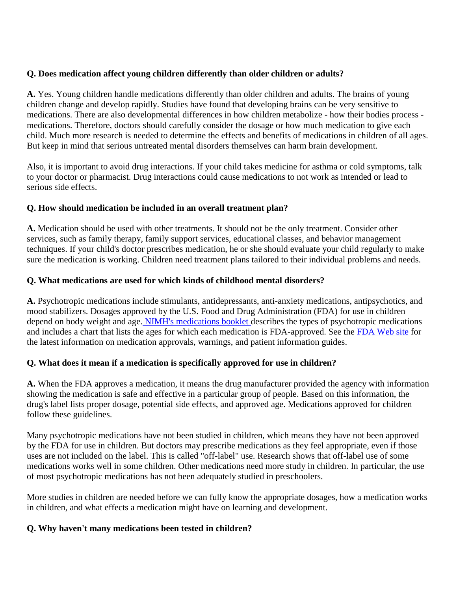#### **Q. Does medication affect young children differently than older children or adults?**

**A.** Yes. Young children handle medications differently than older children and adults. The brains of young children change and develop rapidly. Studies have found that developing brains can be very sensitive to medications. There are also developmental differences in how children metabolize - how their bodies process medications. Therefore, doctors should carefully consider the dosage or how much medication to give each child. Much more research is needed to determine the effects and benefits of medications in children of all ages. But keep in mind that serious untreated mental disorders themselves can harm brain development.

Also, it is important to avoid drug interactions. If your child takes medicine for asthma or cold symptoms, talk to your doctor or pharmacist. Drug interactions could cause medications to not work as intended or lead to serious side effects.

# **Q. How should medication be included in an overall treatment plan?**

**A.** Medication should be used with other treatments. It should not be the only treatment. Consider other services, such as family therapy, family support services, educational classes, and behavior management techniques. If your child's doctor prescribes medication, he or she should evaluate your child regularly to make sure the medication is working. Children need treatment plans tailored to their individual problems and needs.

#### **Q. What medications are used for which kinds of childhood mental disorders?**

**A.** Psychotropic medications include stimulants, antidepressants, anti-anxiety medications, antipsychotics, and mood stabilizers. Dosages approved by the U.S. Food and Drug Administration (FDA) for use in children depend on body weight and age. [NIMH's medications booklet](http://www.nimh.nih.gov/health/publications/mental-health-medications/index.shtml) describes the types of psychotropic medications and includes a chart that lists the ages for which each medication is FDA-approved. See the [FDA Web site](http://www.fda.gov/) for the latest information on medication approvals, warnings, and patient information guides.

# **Q. What does it mean if a medication is specifically approved for use in children?**

**A.** When the FDA approves a medication, it means the drug manufacturer provided the agency with information showing the medication is safe and effective in a particular group of people. Based on this information, the drug's label lists proper dosage, potential side effects, and approved age. Medications approved for children follow these guidelines.

Many psychotropic medications have not been studied in children, which means they have not been approved by the FDA for use in children. But doctors may prescribe medications as they feel appropriate, even if those uses are not included on the label. This is called "off-label" use. Research shows that off-label use of some medications works well in some children. Other medications need more study in children. In particular, the use of most psychotropic medications has not been adequately studied in preschoolers.

More studies in children are needed before we can fully know the appropriate dosages, how a medication works in children, and what effects a medication might have on learning and development.

# **Q. Why haven't many medications been tested in children?**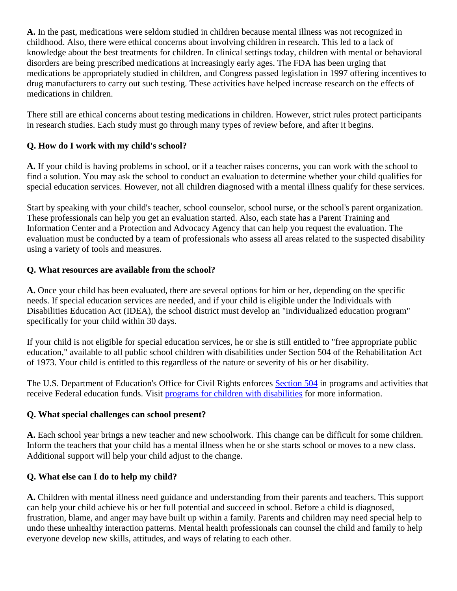**A.** In the past, medications were seldom studied in children because mental illness was not recognized in childhood. Also, there were ethical concerns about involving children in research. This led to a lack of knowledge about the best treatments for children. In clinical settings today, children with mental or behavioral disorders are being prescribed medications at increasingly early ages. The FDA has been urging that medications be appropriately studied in children, and Congress passed legislation in 1997 offering incentives to drug manufacturers to carry out such testing. These activities have helped increase research on the effects of medications in children.

There still are ethical concerns about testing medications in children. However, strict rules protect participants in research studies. Each study must go through many types of review before, and after it begins.

# **Q. How do I work with my child's school?**

**A.** If your child is having problems in school, or if a teacher raises concerns, you can work with the school to find a solution. You may ask the school to conduct an evaluation to determine whether your child qualifies for special education services. However, not all children diagnosed with a mental illness qualify for these services.

Start by speaking with your child's teacher, school counselor, school nurse, or the school's parent organization. These professionals can help you get an evaluation started. Also, each state has a Parent Training and Information Center and a Protection and Advocacy Agency that can help you request the evaluation. The evaluation must be conducted by a team of professionals who assess all areas related to the suspected disability using a variety of tools and measures.

# **Q. What resources are available from the school?**

**A.** Once your child has been evaluated, there are several options for him or her, depending on the specific needs. If special education services are needed, and if your child is eligible under the Individuals with Disabilities Education Act (IDEA), the school district must develop an "individualized education program" specifically for your child within 30 days.

If your child is not eligible for special education services, he or she is still entitled to "free appropriate public education," available to all public school children with disabilities under Section 504 of the Rehabilitation Act of 1973. Your child is entitled to this regardless of the nature or severity of his or her disability.

The U.S. Department of Education's Office for Civil Rights enforces [Section 504](http://www.ed.gov/about/offices/list/ocr/504faq.html) in programs and activities that receive Federal education funds. Visit [programs for children with](http://www.ed.gov/parents/needs/speced/edpicks.jhtml?src=ln) disabilities for more information.

# **Q. What special challenges can school present?**

**A.** Each school year brings a new teacher and new schoolwork. This change can be difficult for some children. Inform the teachers that your child has a mental illness when he or she starts school or moves to a new class. Additional support will help your child adjust to the change.

# **Q. What else can I do to help my child?**

**A.** Children with mental illness need guidance and understanding from their parents and teachers. This support can help your child achieve his or her full potential and succeed in school. Before a child is diagnosed, frustration, blame, and anger may have built up within a family. Parents and children may need special help to undo these unhealthy interaction patterns. Mental health professionals can counsel the child and family to help everyone develop new skills, attitudes, and ways of relating to each other.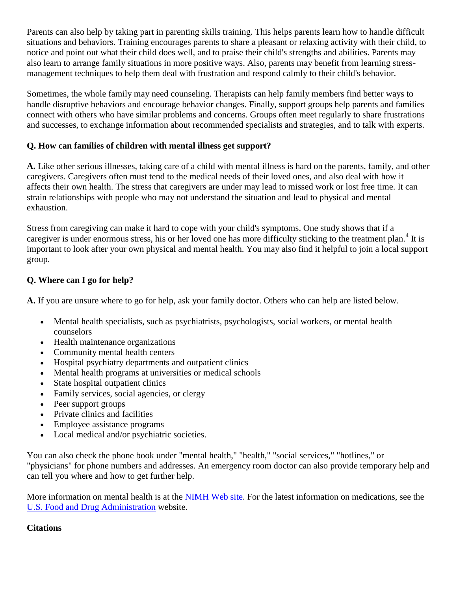Parents can also help by taking part in parenting skills training. This helps parents learn how to handle difficult situations and behaviors. Training encourages parents to share a pleasant or relaxing activity with their child, to notice and point out what their child does well, and to praise their child's strengths and abilities. Parents may also learn to arrange family situations in more positive ways. Also, parents may benefit from learning stressmanagement techniques to help them deal with frustration and respond calmly to their child's behavior.

Sometimes, the whole family may need counseling. Therapists can help family members find better ways to handle disruptive behaviors and encourage behavior changes. Finally, support groups help parents and families connect with others who have similar problems and concerns. Groups often meet regularly to share frustrations and successes, to exchange information about recommended specialists and strategies, and to talk with experts.

#### **Q. How can families of children with mental illness get support?**

**A.** Like other serious illnesses, taking care of a child with mental illness is hard on the parents, family, and other caregivers. Caregivers often must tend to the medical needs of their loved ones, and also deal with how it affects their own health. The stress that caregivers are under may lead to missed work or lost free time. It can strain relationships with people who may not understand the situation and lead to physical and mental exhaustion.

Stress from caregiving can make it hard to cope with your child's symptoms. One study shows that if a caregiver is under enormous stress, his or her loved one has more difficulty sticking to the treatment plan.<sup>4</sup> It is important to look after your own physical and mental health. You may also find it helpful to join a local support group.

#### **Q. Where can I go for help?**

**A.** If you are unsure where to go for help, ask your family doctor. Others who can help are listed below.

- Mental health specialists, such as psychiatrists, psychologists, social workers, or mental health counselors
- Health maintenance organizations
- Community mental health centers
- Hospital psychiatry departments and outpatient clinics
- Mental health programs at universities or medical schools
- State hospital outpatient clinics
- Family services, social agencies, or clergy
- Peer support groups
- Private clinics and facilities
- Employee assistance programs
- Local medical and/or psychiatric societies.

You can also check the phone book under "mental health," "health," "social services," "hotlines," or "physicians" for phone numbers and addresses. An emergency room doctor can also provide temporary help and can tell you where and how to get further help.

More information on mental health is at the [NIMH Web site.](http://www.nimh.nih.gov/) For the latest information on medications, see the [U.S. Food and Drug Administration](http://www.fda.gov/) website.

#### **Citations**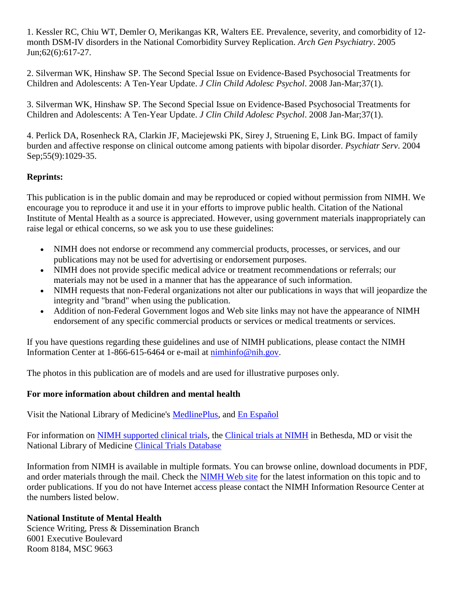1. Kessler RC, Chiu WT, Demler O, Merikangas KR, Walters EE. Prevalence, severity, and comorbidity of 12 month DSM-IV disorders in the National Comorbidity Survey Replication. *Arch Gen Psychiatry*. 2005 Jun;62(6):617-27.

2. Silverman WK, Hinshaw SP. The Second Special Issue on Evidence-Based Psychosocial Treatments for Children and Adolescents: A Ten-Year Update. *J Clin Child Adolesc Psychol*. 2008 Jan-Mar;37(1).

3. Silverman WK, Hinshaw SP. The Second Special Issue on Evidence-Based Psychosocial Treatments for Children and Adolescents: A Ten-Year Update. *J Clin Child Adolesc Psychol*. 2008 Jan-Mar;37(1).

4. Perlick DA, Rosenheck RA, Clarkin JF, Maciejewski PK, Sirey J, Struening E, Link BG. Impact of family burden and affective response on clinical outcome among patients with bipolar disorder. *Psychiatr Serv*. 2004 Sep; 55(9): 1029-35.

# **Reprints:**

This publication is in the public domain and may be reproduced or copied without permission from NIMH. We encourage you to reproduce it and use it in your efforts to improve public health. Citation of the National Institute of Mental Health as a source is appreciated. However, using government materials inappropriately can raise legal or ethical concerns, so we ask you to use these guidelines:

- NIMH does not endorse or recommend any commercial products, processes, or services, and our publications may not be used for advertising or endorsement purposes.
- NIMH does not provide specific medical advice or treatment recommendations or referrals; our materials may not be used in a manner that has the appearance of such information.
- NIMH requests that non-Federal organizations not alter our publications in ways that will jeopardize the integrity and "brand" when using the publication.
- Addition of non-Federal Government logos and Web site links may not have the appearance of NIMH endorsement of any specific commercial products or services or medical treatments or services.

If you have questions regarding these guidelines and use of NIMH publications, please contact the NIMH Information Center at 1-866-615-6464 or e-mail at [nimhinfo@nih.gov.](mailto:nimhinfo@nih.gov)

The photos in this publication are of models and are used for illustrative purposes only.

# **For more information about children and mental health**

Visit the National Library of Medicine's [MedlinePlus,](http://medlineplus.gov/) and [En Español](http://medlineplus.gov/spanish)

For information on [NIMH supported clinical trials,](http://www.nimh.nih.gov/health/trials/index.shtml) the [Clinical trials at NIMH](http://patientinfo.nimh.nih.gov/) in Bethesda, MD or visit the National Library of Medicine [Clinical Trials Database](http://www.clinicaltrials.gov/)

Information from NIMH is available in multiple formats. You can browse online, download documents in PDF, and order materials through the mail. Check the [NIMH Web site](http://www.nimh.nih.gov/) for the latest information on this topic and to order publications. If you do not have Internet access please contact the NIMH Information Resource Center at the numbers listed below.

# **National Institute of Mental Health**

Science Writing, Press & Dissemination Branch 6001 Executive Boulevard Room 8184, MSC 9663